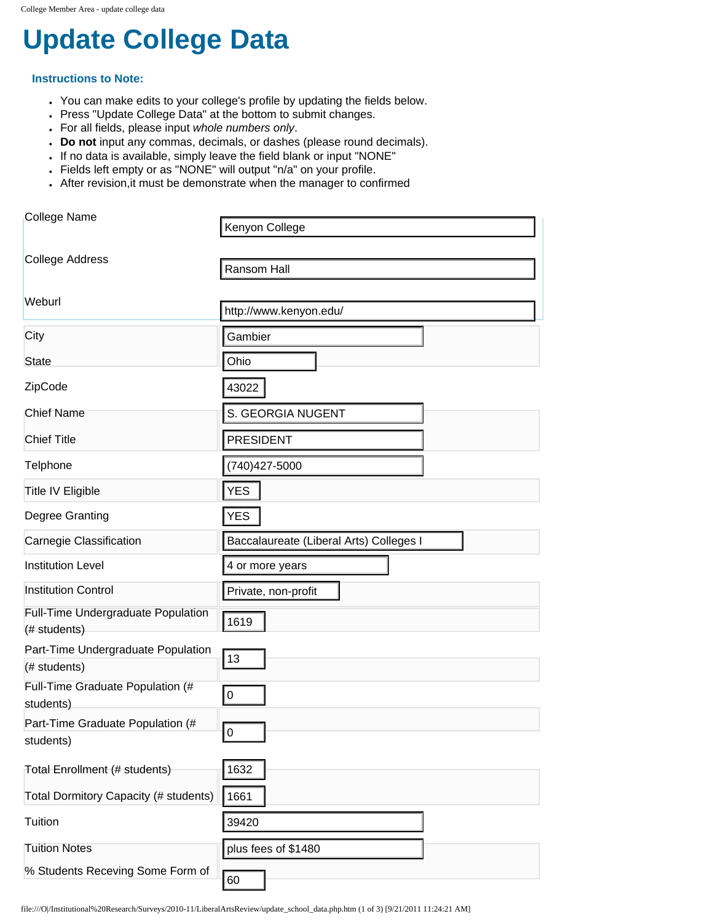# **[Update College Data](http://www.liberalartscollegereview.com/)**

#### **Instructions to Note:**

- You can make edits to your college's profile by updating the fields below.
- Press "Update College Data" at the bottom to submit changes.
- For all fields, please input *whole numbers only*.
- **Do not** input any commas, decimals, or dashes (please round decimals).
- If no data is available, simply leave the field blank or input "NONE"
- Fields left empty or as "NONE" will output "n/a" on your profile.
- After revision, it must be demonstrate when the manager to confirmed

| College Name                                       | Kenyon College                          |  |
|----------------------------------------------------|-----------------------------------------|--|
| <b>College Address</b>                             |                                         |  |
|                                                    | Ransom Hall                             |  |
| Weburl                                             | http://www.kenyon.edu/                  |  |
| City                                               | Gambier                                 |  |
|                                                    |                                         |  |
| <b>State</b>                                       | Ohio                                    |  |
| ZipCode                                            | 43022                                   |  |
| <b>Chief Name</b>                                  | S. GEORGIA NUGENT                       |  |
| <b>Chief Title</b>                                 | <b>PRESIDENT</b>                        |  |
| Telphone                                           | (740) 427-5000                          |  |
| <b>Title IV Eligible</b>                           | YES                                     |  |
| Degree Granting                                    | <b>YES</b>                              |  |
| Carnegie Classification                            | Baccalaureate (Liberal Arts) Colleges I |  |
| <b>Institution Level</b>                           | 4 or more years                         |  |
| <b>Institution Control</b>                         | Private, non-profit                     |  |
| Full-Time Undergraduate Population<br>(# students) | 1619                                    |  |
| Part-Time Undergraduate Population                 |                                         |  |
| (# students)                                       | 13                                      |  |
| Full-Time Graduate Population (#<br>students)      | $\pmb{0}$                               |  |
| Part-Time Graduate Population (#                   |                                         |  |
| students)                                          | 0                                       |  |
| Total Enrollment (# students)                      | 1632                                    |  |
| Total Dormitory Capacity (# students)              | 1661                                    |  |
| Tuition                                            | 39420                                   |  |
| <b>Tuition Notes</b>                               | plus fees of \$1480                     |  |
| % Students Receving Some Form of                   |                                         |  |

file:///O|/Institutional%20Research/Surveys/2010-11/LiberalArtsReview/update\_school\_data.php.htm (1 of 3) [9/21/2011 11:24:21 AM]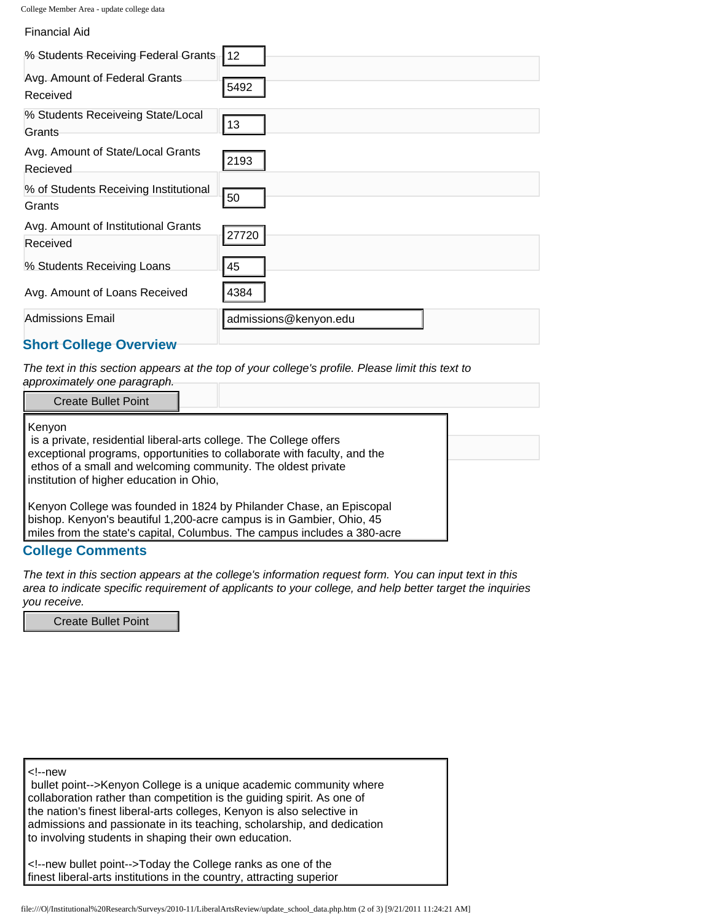| Conce Member Area - apuate conce data           |                       |  |
|-------------------------------------------------|-----------------------|--|
| <b>Financial Aid</b>                            |                       |  |
| % Students Receiving Federal Grants             | 112                   |  |
| Avg. Amount of Federal Grants<br>Received       | 5492                  |  |
| % Students Receiveing State/Local<br>Grants     | 13                    |  |
| Avg. Amount of State/Local Grants<br>Recieved   | 2193                  |  |
| % of Students Receiving Institutional<br>Grants | 50                    |  |
| Avg. Amount of Institutional Grants<br>Received | 27720                 |  |
| % Students Receiving Loans                      | 45                    |  |
| Avg. Amount of Loans Received                   | 4384                  |  |
| <b>Admissions Email</b>                         | admissions@kenyon.edu |  |

### **Short College Overview**

*The text in this section appears at the top of your college's profile. Please limit this text to approximately one paragraph.*

| Kenyon<br>is a private, residential liberal-arts college. The College offers<br>exceptional programs, opportunities to collaborate with faculty, and the<br>ethos of a small and welcoming community. The oldest private<br>institution of higher education in Ohio,<br>Kenyon College was founded in 1824 by Philander Chase, an Episcopal<br>bishop. Kenyon's beautiful 1,200-acre campus is in Gambier, Ohio, 45<br>miles from the state's capital, Columbus. The campus includes a 380-acre | <b>Create Bullet Point</b> |  |
|-------------------------------------------------------------------------------------------------------------------------------------------------------------------------------------------------------------------------------------------------------------------------------------------------------------------------------------------------------------------------------------------------------------------------------------------------------------------------------------------------|----------------------------|--|
|                                                                                                                                                                                                                                                                                                                                                                                                                                                                                                 |                            |  |
|                                                                                                                                                                                                                                                                                                                                                                                                                                                                                                 |                            |  |
|                                                                                                                                                                                                                                                                                                                                                                                                                                                                                                 |                            |  |

## **College Comments**

*The text in this section appears at the college's information request form. You can input text in this area to indicate specific requirement of applicants to your college, and help better target the inquiries you receive.*

Create Bullet Point

| new<br>bullet point Kenyon College is a unique academic community where<br>collaboration rather than competition is the guiding spirit. As one of<br>the nation's finest liberal-arts colleges, Kenyon is also selective in<br>admissions and passionate in its teaching, scholarship, and dedication<br>to involving students in shaping their own education. |  |
|----------------------------------------------------------------------------------------------------------------------------------------------------------------------------------------------------------------------------------------------------------------------------------------------------------------------------------------------------------------|--|
| new bullet point Today the College ranks as one of the<br>finest liberal-arts institutions in the country, attracting superior                                                                                                                                                                                                                                 |  |